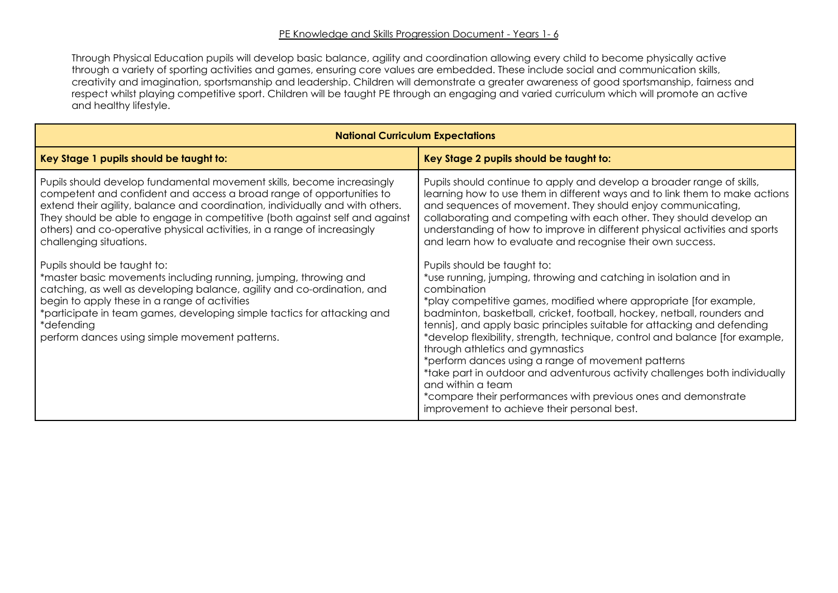## PE Knowledge and Skills Progression Document - Years 1-6

Through Physical Education pupils will develop basic balance, agility and coordination allowing every child to become physically active through a variety of sporting activities and games, ensuring core values are embedded. These include social and communication skills, creativity and imagination, sportsmanship and leadership. Children will demonstrate a greater awareness of good sportsmanship, fairness and respect whilst playing competitive sport. Children will be taught PE through an engaging and varied curriculum which will promote an active and healthy lifestyle.

| <b>National Curriculum Expectations</b>                                                                                                                                                                                                                                                                                                                                                                                                                                                                                                                                                                                                                                                                                                                                                         |                                                                                                                                                                                                                                                                                                                                                                                                                                                                                                                                                                                                                                                                                                                                                                                                                                                                                                                                                                                                                                                                                                                                                                                       |  |  |  |
|-------------------------------------------------------------------------------------------------------------------------------------------------------------------------------------------------------------------------------------------------------------------------------------------------------------------------------------------------------------------------------------------------------------------------------------------------------------------------------------------------------------------------------------------------------------------------------------------------------------------------------------------------------------------------------------------------------------------------------------------------------------------------------------------------|---------------------------------------------------------------------------------------------------------------------------------------------------------------------------------------------------------------------------------------------------------------------------------------------------------------------------------------------------------------------------------------------------------------------------------------------------------------------------------------------------------------------------------------------------------------------------------------------------------------------------------------------------------------------------------------------------------------------------------------------------------------------------------------------------------------------------------------------------------------------------------------------------------------------------------------------------------------------------------------------------------------------------------------------------------------------------------------------------------------------------------------------------------------------------------------|--|--|--|
| Key Stage 1 pupils should be taught to:                                                                                                                                                                                                                                                                                                                                                                                                                                                                                                                                                                                                                                                                                                                                                         | Key Stage 2 pupils should be taught to:                                                                                                                                                                                                                                                                                                                                                                                                                                                                                                                                                                                                                                                                                                                                                                                                                                                                                                                                                                                                                                                                                                                                               |  |  |  |
| Pupils should develop fundamental movement skills, become increasingly<br>competent and confident and access a broad range of opportunities to<br>extend their agility, balance and coordination, individually and with others.<br>They should be able to engage in competitive (both against self and against<br>others) and co-operative physical activities, in a range of increasingly<br>challenging situations.<br>Pupils should be taught to:<br>*master basic movements including running, jumping, throwing and<br>catching, as well as developing balance, agility and co-ordination, and<br>begin to apply these in a range of activities<br>*participate in team games, developing simple tactics for attacking and<br>*defending<br>perform dances using simple movement patterns. | Pupils should continue to apply and develop a broader range of skills,<br>learning how to use them in different ways and to link them to make actions<br>and sequences of movement. They should enjoy communicating,<br>collaborating and competing with each other. They should develop an<br>understanding of how to improve in different physical activities and sports<br>and learn how to evaluate and recognise their own success.<br>Pupils should be taught to:<br>*use running, jumping, throwing and catching in isolation and in<br>combination<br>*play competitive games, modified where appropriate [for example,<br>badminton, basketball, cricket, football, hockey, netball, rounders and<br>tennis], and apply basic principles suitable for attacking and defending<br>*develop flexibility, strength, technique, control and balance [for example,<br>through athletics and gymnastics<br>*perform dances using a range of movement patterns<br>*take part in outdoor and adventurous activity challenges both individually<br>and within a team<br>*compare their performances with previous ones and demonstrate<br>improvement to achieve their personal best. |  |  |  |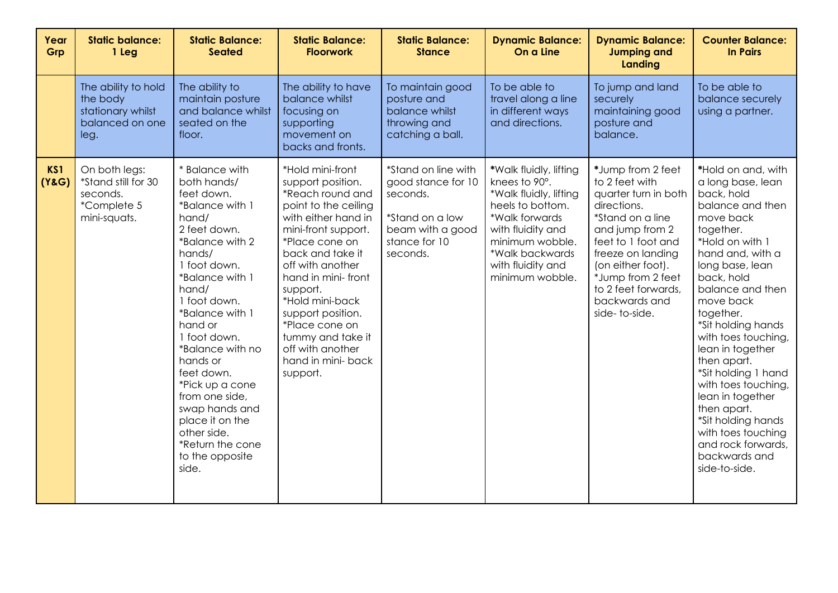| Year<br>Grp  | <b>Static balance:</b><br>1 Leg                                                 | <b>Static Balance:</b><br><b>Seated</b>                                                                                                                                                                                                                                                                                                                                                                               | <b>Static Balance:</b><br><b>Floorwork</b>                                                                                                                                                                                                                                                                                                                       | <b>Static Balance:</b><br><b>Stance</b>                                                                                   | <b>Dynamic Balance:</b><br>On a Line                                                                                                                                                                       | <b>Dynamic Balance:</b><br><b>Jumping and</b><br>Landing                                                                                                                                                                                                        | <b>Counter Balance:</b><br><b>In Pairs</b>                                                                                                                                                                                                                                                                                                                                                                                                                                                     |
|--------------|---------------------------------------------------------------------------------|-----------------------------------------------------------------------------------------------------------------------------------------------------------------------------------------------------------------------------------------------------------------------------------------------------------------------------------------------------------------------------------------------------------------------|------------------------------------------------------------------------------------------------------------------------------------------------------------------------------------------------------------------------------------------------------------------------------------------------------------------------------------------------------------------|---------------------------------------------------------------------------------------------------------------------------|------------------------------------------------------------------------------------------------------------------------------------------------------------------------------------------------------------|-----------------------------------------------------------------------------------------------------------------------------------------------------------------------------------------------------------------------------------------------------------------|------------------------------------------------------------------------------------------------------------------------------------------------------------------------------------------------------------------------------------------------------------------------------------------------------------------------------------------------------------------------------------------------------------------------------------------------------------------------------------------------|
|              | The ability to hold<br>the body<br>stationary whilst<br>balanced on one<br>leg. | The ability to<br>maintain posture<br>and balance whilst<br>seated on the<br>floor.                                                                                                                                                                                                                                                                                                                                   | The ability to have<br>balance whilst<br>focusing on<br>supporting<br>movement on<br>backs and fronts.                                                                                                                                                                                                                                                           | To maintain good<br>posture and<br>balance whilst<br>throwing and<br>catching a ball.                                     | To be able to<br>travel along a line<br>in different ways<br>and directions.                                                                                                                               | To jump and land<br>securely<br>maintaining good<br>posture and<br>balance.                                                                                                                                                                                     | To be able to<br>balance securely<br>using a partner.                                                                                                                                                                                                                                                                                                                                                                                                                                          |
| KS1<br>(Y&G) | On both legs:<br>*Stand still for 30<br>seconds.<br>*Complete 5<br>mini-squats. | * Balance with<br>both hands/<br>feet down.<br>*Balance with 1<br>hand/<br>2 feet down.<br>*Balance with 2<br>hands/<br>1 foot down.<br>*Balance with 1<br>hand/<br>1 foot down.<br>*Balance with 1<br>hand or<br>1 foot down.<br>*Balance with no<br>hands or<br>feet down.<br>*Pick up a cone<br>from one side,<br>swap hands and<br>place it on the<br>other side.<br>*Return the cone<br>to the opposite<br>side. | *Hold mini-front<br>support position.<br>*Reach round and<br>point to the ceiling<br>with either hand in<br>mini-front support.<br>*Place cone on<br>back and take it<br>off with another<br>hand in mini-front<br>support.<br>*Hold mini-back<br>support position.<br>*Place cone on<br>tummy and take it<br>off with another<br>hand in mini- back<br>support. | *Stand on line with<br>good stance for 10<br>seconds.<br>*Stand on a low<br>beam with a good<br>stance for 10<br>seconds. | *Walk fluidly, lifting<br>knees to 90°.<br>*Walk fluidly, lifting<br>heels to bottom.<br>*Walk forwards<br>with fluidity and<br>minimum wobble.<br>*Walk backwards<br>with fluidity and<br>minimum wobble. | *Jump from 2 feet<br>to 2 feet with<br>quarter turn in both<br>directions.<br>*Stand on a line<br>and jump from 2<br>feet to 1 foot and<br>freeze on landing<br>(on either foot).<br>*Jump from 2 feet<br>to 2 feet forwards,<br>backwards and<br>side-to-side. | *Hold on and, with<br>a long base, lean<br>back, hold<br>balance and then<br>move back<br>together.<br>*Hold on with 1<br>hand and, with a<br>long base, lean<br>back, hold<br>balance and then<br>move back<br>together.<br>*Sit holding hands<br>with toes touching,<br>lean in together<br>then apart.<br>*Sit holding 1 hand<br>with toes touching,<br>lean in together<br>then apart.<br>*Sit holding hands<br>with toes touching<br>and rock forwards,<br>backwards and<br>side-to-side. |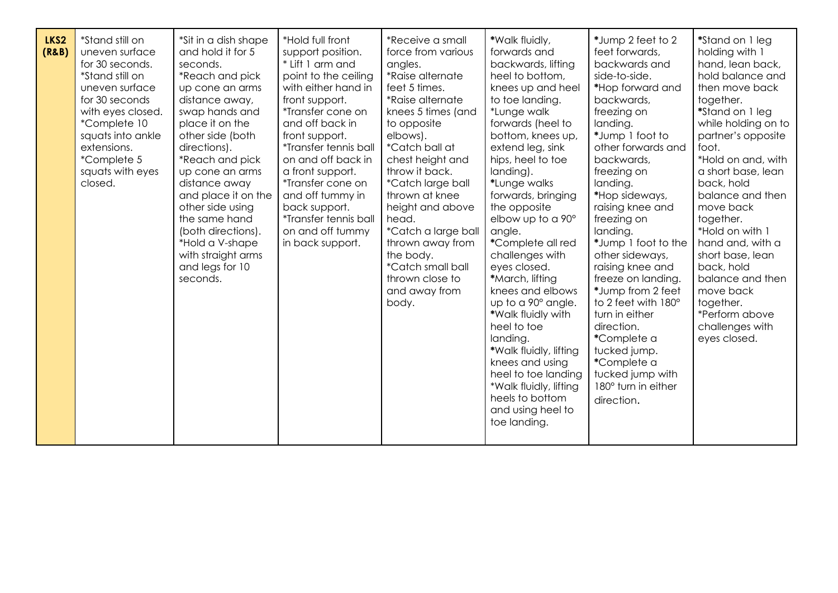| LKS2<br>(R&B) | *Stand still on<br>uneven surface<br>for 30 seconds.<br>*Stand still on<br>uneven surface<br>for 30 seconds<br>with eyes closed.<br>*Complete 10<br>squats into ankle<br>extensions.<br>*Complete 5<br>squats with eyes<br>closed. | *Sit in a dish shape<br>and hold it for 5<br>seconds.<br>*Reach and pick<br>up cone an arms<br>distance away,<br>swap hands and<br>place it on the<br>other side (both<br>directions).<br>*Reach and pick<br>up cone an arms<br>distance away<br>and place it on the<br>other side using<br>the same hand<br>(both directions).<br>*Hold a V-shape<br>with straight arms<br>and legs for 10<br>seconds. | *Hold full front<br>support position.<br>* Lift 1 arm and<br>point to the ceiling<br>with either hand in<br>front support.<br>*Transfer cone on<br>and off back in<br>front support.<br>*Transfer tennis ball<br>on and off back in<br>a front support.<br>*Transfer cone on<br>and off tummy in<br>back support.<br>*Transfer tennis ball<br>on and off tummy<br>in back support. | *Receive a small<br>force from various<br>angles.<br>*Raise alternate<br>feet 5 times.<br>*Raise alternate<br>knees 5 times (and<br>to opposite<br>elbows).<br>*Catch ball at<br>chest height and<br>throw it back.<br>*Catch large ball<br>thrown at knee<br>height and above<br>head.<br>*Catch a large ball<br>thrown away from<br>the body.<br>*Catch small ball<br>thrown close to<br>and away from<br>body. | *Walk fluidly,<br>forwards and<br>backwards, lifting<br>heel to bottom,<br>knees up and heel<br>to toe landing.<br>*Lunge walk<br>forwards (heel to<br>bottom, knees up,<br>extend leg, sink<br>hips, heel to toe<br>landing).<br>*Lunge walks<br>forwards, bringing<br>the opposite<br>elbow up to a 90°<br>angle.<br>*Complete all red<br>challenges with<br>eyes closed.<br>*March, lifting<br>knees and elbows<br>up to a 90° angle.<br>*Walk fluidly with<br>heel to toe<br>landing.<br>*Walk fluidly, lifting<br>knees and using<br>heel to toe landing<br>*Walk fluidly, lifting<br>heels to bottom<br>and using heel to<br>toe landing. | *Jump 2 feet to 2<br>feet forwards,<br>backwards and<br>side-to-side.<br>*Hop forward and<br>backwards,<br>freezing on<br>landing.<br>*Jump 1 foot to<br>other forwards and<br>backwards,<br>freezing on<br>landing.<br>*Hop sideways,<br>raising knee and<br>freezing on<br>landing.<br>*Jump 1 foot to the<br>other sideways,<br>raising knee and<br>freeze on landing.<br>*Jump from 2 feet<br>to 2 feet with 180°<br>turn in either<br>direction.<br>*Complete a<br>tucked jump.<br>*Complete a<br>tucked jump with<br>180° turn in either<br>direction. | *Stand on 1 leg<br>holding with 1<br>hand, lean back,<br>hold balance and<br>then move back<br>together.<br>*Stand on 1 leg<br>while holding on to<br>partner's opposite<br>foot.<br>*Hold on and, with<br>a short base, lean<br>back, hold<br>balance and then<br>move back<br>together.<br>*Hold on with 1<br>hand and, with a<br>short base, lean<br>back, hold<br>balance and then<br>move back<br>together.<br>*Perform above<br>challenges with<br>eyes closed. |
|---------------|------------------------------------------------------------------------------------------------------------------------------------------------------------------------------------------------------------------------------------|---------------------------------------------------------------------------------------------------------------------------------------------------------------------------------------------------------------------------------------------------------------------------------------------------------------------------------------------------------------------------------------------------------|------------------------------------------------------------------------------------------------------------------------------------------------------------------------------------------------------------------------------------------------------------------------------------------------------------------------------------------------------------------------------------|-------------------------------------------------------------------------------------------------------------------------------------------------------------------------------------------------------------------------------------------------------------------------------------------------------------------------------------------------------------------------------------------------------------------|-------------------------------------------------------------------------------------------------------------------------------------------------------------------------------------------------------------------------------------------------------------------------------------------------------------------------------------------------------------------------------------------------------------------------------------------------------------------------------------------------------------------------------------------------------------------------------------------------------------------------------------------------|--------------------------------------------------------------------------------------------------------------------------------------------------------------------------------------------------------------------------------------------------------------------------------------------------------------------------------------------------------------------------------------------------------------------------------------------------------------------------------------------------------------------------------------------------------------|-----------------------------------------------------------------------------------------------------------------------------------------------------------------------------------------------------------------------------------------------------------------------------------------------------------------------------------------------------------------------------------------------------------------------------------------------------------------------|
|---------------|------------------------------------------------------------------------------------------------------------------------------------------------------------------------------------------------------------------------------------|---------------------------------------------------------------------------------------------------------------------------------------------------------------------------------------------------------------------------------------------------------------------------------------------------------------------------------------------------------------------------------------------------------|------------------------------------------------------------------------------------------------------------------------------------------------------------------------------------------------------------------------------------------------------------------------------------------------------------------------------------------------------------------------------------|-------------------------------------------------------------------------------------------------------------------------------------------------------------------------------------------------------------------------------------------------------------------------------------------------------------------------------------------------------------------------------------------------------------------|-------------------------------------------------------------------------------------------------------------------------------------------------------------------------------------------------------------------------------------------------------------------------------------------------------------------------------------------------------------------------------------------------------------------------------------------------------------------------------------------------------------------------------------------------------------------------------------------------------------------------------------------------|--------------------------------------------------------------------------------------------------------------------------------------------------------------------------------------------------------------------------------------------------------------------------------------------------------------------------------------------------------------------------------------------------------------------------------------------------------------------------------------------------------------------------------------------------------------|-----------------------------------------------------------------------------------------------------------------------------------------------------------------------------------------------------------------------------------------------------------------------------------------------------------------------------------------------------------------------------------------------------------------------------------------------------------------------|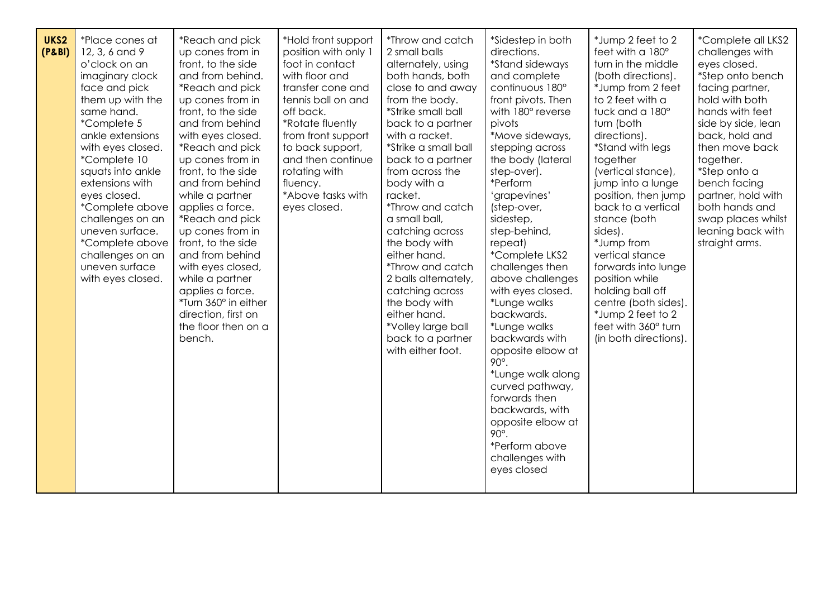| UKS2<br>(P&BI) | *Place cones at<br>12, 3, 6 and 9<br>o'clock on an<br>imaginary clock<br>face and pick<br>them up with the<br>same hand.<br>*Complete 5<br>ankle extensions<br>with eyes closed.<br>*Complete 10<br>squats into ankle<br>extensions with<br>eyes closed.<br>*Complete above<br>challenges on an<br>uneven surface.<br>*Complete above<br>challenges on an<br>uneven surface<br>with eyes closed. | *Reach and pick<br>up cones from in<br>front, to the side<br>and from behind.<br>*Reach and pick<br>up cones from in<br>front, to the side<br>and from behind<br>with eyes closed.<br>*Reach and pick<br>up cones from in<br>front, to the side<br>and from behind<br>while a partner<br>applies a force.<br>*Reach and pick<br>up cones from in<br>front, to the side<br>and from behind<br>with eyes closed,<br>while a partner<br>applies a force.<br>*Turn 360° in either<br>direction, first on<br>the floor then on a<br>bench. | *Hold front support<br>position with only 1<br>foot in contact<br>with floor and<br>transfer cone and<br>tennis ball on and<br>off back.<br>*Rotate fluently<br>from front support<br>to back support,<br>and then continue<br>rotating with<br>fluency.<br>*Above tasks with<br>eyes closed. | *Throw and catch<br>2 small balls<br>alternately, using<br>both hands, both<br>close to and away<br>from the body.<br>*Strike small ball<br>back to a partner<br>with a racket.<br>*Strike a small ball<br>back to a partner<br>from across the<br>body with a<br>racket.<br>*Throw and catch<br>a small ball,<br>catching across<br>the body with<br>either hand.<br>*Throw and catch<br>2 balls alternately,<br>catching across<br>the body with<br>either hand.<br>*Volley large ball<br>back to a partner<br>with either foot. | *Sidestep in both<br>directions.<br>*Stand sideways<br>and complete<br>continuous 180°<br>front pivots. Then<br>with 180° reverse<br>pivots<br>*Move sideways,<br>stepping across<br>the body (lateral<br>step-over).<br>*Perform<br>'grapevines'<br>(step-over,<br>sidestep,<br>step-behind,<br>repeat)<br>*Complete LKS2<br>challenges then<br>above challenges<br>with eyes closed.<br>*Lunge walks<br>backwards.<br>*Lunge walks<br>backwards with<br>opposite elbow at<br>90°.<br>*Lunge walk along<br>curved pathway,<br>forwards then<br>backwards, with<br>opposite elbow at<br>90°.<br>*Perform above<br>challenges with<br>eyes closed | *Jump 2 feet to 2<br>feet with a 180°<br>turn in the middle<br>(both directions).<br>*Jump from 2 feet<br>to 2 feet with a<br>tuck and a 180°<br>turn (both<br>directions).<br>*Stand with legs<br>together<br>(vertical stance),<br>jump into a lunge<br>position, then jump<br>back to a vertical<br>stance (both<br>sides).<br>*Jump from<br>vertical stance<br>forwards into lunge<br>position while<br>holding ball off<br>centre (both sides).<br>*Jump 2 feet to 2<br>feet with 360° turn<br>(in both directions). | *Complete all LKS2<br>challenges with<br>eyes closed.<br>*Step onto bench<br>facing partner,<br>hold with both<br>hands with feet<br>side by side, lean<br>back, hold and<br>then move back<br>together.<br>*Step onto a<br>bench facing<br>partner, hold with<br>both hands and<br>swap places whilst<br>leaning back with<br>straight arms. |
|----------------|--------------------------------------------------------------------------------------------------------------------------------------------------------------------------------------------------------------------------------------------------------------------------------------------------------------------------------------------------------------------------------------------------|---------------------------------------------------------------------------------------------------------------------------------------------------------------------------------------------------------------------------------------------------------------------------------------------------------------------------------------------------------------------------------------------------------------------------------------------------------------------------------------------------------------------------------------|-----------------------------------------------------------------------------------------------------------------------------------------------------------------------------------------------------------------------------------------------------------------------------------------------|------------------------------------------------------------------------------------------------------------------------------------------------------------------------------------------------------------------------------------------------------------------------------------------------------------------------------------------------------------------------------------------------------------------------------------------------------------------------------------------------------------------------------------|--------------------------------------------------------------------------------------------------------------------------------------------------------------------------------------------------------------------------------------------------------------------------------------------------------------------------------------------------------------------------------------------------------------------------------------------------------------------------------------------------------------------------------------------------------------------------------------------------------------------------------------------------|---------------------------------------------------------------------------------------------------------------------------------------------------------------------------------------------------------------------------------------------------------------------------------------------------------------------------------------------------------------------------------------------------------------------------------------------------------------------------------------------------------------------------|-----------------------------------------------------------------------------------------------------------------------------------------------------------------------------------------------------------------------------------------------------------------------------------------------------------------------------------------------|
|----------------|--------------------------------------------------------------------------------------------------------------------------------------------------------------------------------------------------------------------------------------------------------------------------------------------------------------------------------------------------------------------------------------------------|---------------------------------------------------------------------------------------------------------------------------------------------------------------------------------------------------------------------------------------------------------------------------------------------------------------------------------------------------------------------------------------------------------------------------------------------------------------------------------------------------------------------------------------|-----------------------------------------------------------------------------------------------------------------------------------------------------------------------------------------------------------------------------------------------------------------------------------------------|------------------------------------------------------------------------------------------------------------------------------------------------------------------------------------------------------------------------------------------------------------------------------------------------------------------------------------------------------------------------------------------------------------------------------------------------------------------------------------------------------------------------------------|--------------------------------------------------------------------------------------------------------------------------------------------------------------------------------------------------------------------------------------------------------------------------------------------------------------------------------------------------------------------------------------------------------------------------------------------------------------------------------------------------------------------------------------------------------------------------------------------------------------------------------------------------|---------------------------------------------------------------------------------------------------------------------------------------------------------------------------------------------------------------------------------------------------------------------------------------------------------------------------------------------------------------------------------------------------------------------------------------------------------------------------------------------------------------------------|-----------------------------------------------------------------------------------------------------------------------------------------------------------------------------------------------------------------------------------------------------------------------------------------------------------------------------------------------|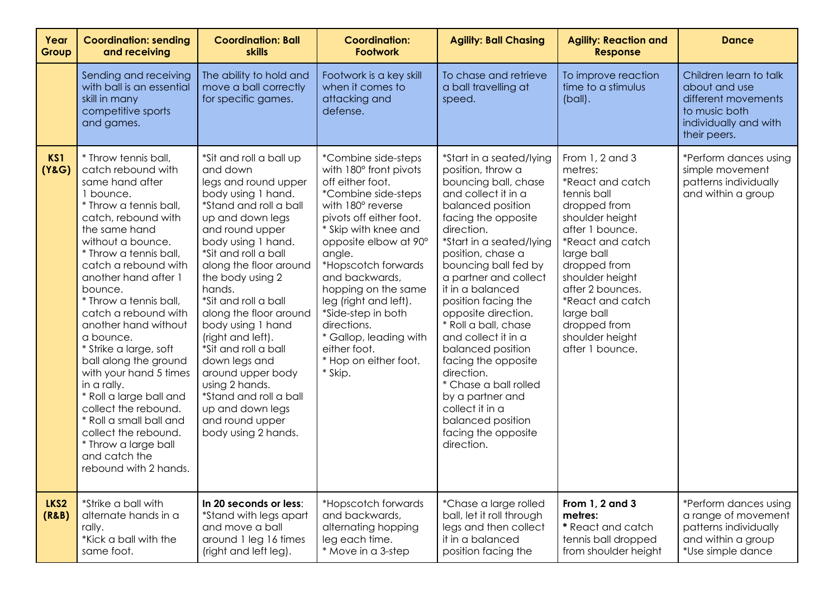| Year<br>Group | <b>Coordination: sending</b><br>and receiving                                                                                                                                                                                                                                                                                                                                                                                                                                                                                                                                                                   | <b>Coordination: Ball</b><br><b>skills</b>                                                                                                                                                                                                                                                                                                                                                                                                                                                                                   | <b>Coordination:</b><br><b>Footwork</b>                                                                                                                                                                                                                                                                                                                                                                         | <b>Agility: Ball Chasing</b>                                                                                                                                                                                                                                                                                                                                                                                                                                                                                                                                  | <b>Agility: Reaction and</b><br><b>Response</b>                                                                                                                                                                                                                                                          | <b>Dance</b>                                                                                                             |
|---------------|-----------------------------------------------------------------------------------------------------------------------------------------------------------------------------------------------------------------------------------------------------------------------------------------------------------------------------------------------------------------------------------------------------------------------------------------------------------------------------------------------------------------------------------------------------------------------------------------------------------------|------------------------------------------------------------------------------------------------------------------------------------------------------------------------------------------------------------------------------------------------------------------------------------------------------------------------------------------------------------------------------------------------------------------------------------------------------------------------------------------------------------------------------|-----------------------------------------------------------------------------------------------------------------------------------------------------------------------------------------------------------------------------------------------------------------------------------------------------------------------------------------------------------------------------------------------------------------|---------------------------------------------------------------------------------------------------------------------------------------------------------------------------------------------------------------------------------------------------------------------------------------------------------------------------------------------------------------------------------------------------------------------------------------------------------------------------------------------------------------------------------------------------------------|----------------------------------------------------------------------------------------------------------------------------------------------------------------------------------------------------------------------------------------------------------------------------------------------------------|--------------------------------------------------------------------------------------------------------------------------|
|               | Sending and receiving<br>with ball is an essential<br>skill in many<br>competitive sports<br>and games.                                                                                                                                                                                                                                                                                                                                                                                                                                                                                                         | The ability to hold and<br>move a ball correctly<br>for specific games.                                                                                                                                                                                                                                                                                                                                                                                                                                                      | Footwork is a key skill<br>when it comes to<br>attacking and<br>defense.                                                                                                                                                                                                                                                                                                                                        | To chase and retrieve<br>a ball travelling at<br>speed.                                                                                                                                                                                                                                                                                                                                                                                                                                                                                                       | To improve reaction<br>time to a stimulus<br>(ball).                                                                                                                                                                                                                                                     | Children learn to talk<br>about and use<br>different movements<br>to music both<br>individually and with<br>their peers. |
| KS1<br>(Y&G)  | * Throw tennis ball,<br>catch rebound with<br>same hand after<br>bounce.<br>* Throw a tennis ball,<br>catch, rebound with<br>the same hand<br>without a bounce.<br>* Throw a tennis ball,<br>catch a rebound with<br>another hand after 1<br>bounce.<br>* Throw a tennis ball,<br>catch a rebound with<br>another hand without<br>a bounce.<br>* Strike a large, soft<br>ball along the ground<br>with your hand 5 times<br>in a rally.<br>* Roll a large ball and<br>collect the rebound.<br>* Roll a small ball and<br>collect the rebound.<br>* Throw a large ball<br>and catch the<br>rebound with 2 hands. | *Sit and roll a ball up<br>and down<br>legs and round upper<br>body using 1 hand.<br>*Stand and roll a ball<br>up and down legs<br>and round upper<br>body using 1 hand.<br>*Sit and roll a ball<br>along the floor around<br>the body using 2<br>hands.<br>*Sit and roll a ball<br>along the floor around<br>body using 1 hand<br>(right and left).<br>*Sit and roll a ball<br>down legs and<br>around upper body<br>using 2 hands.<br>*Stand and roll a ball<br>up and down legs<br>and round upper<br>body using 2 hands. | *Combine side-steps<br>with 180° front pivots<br>off either foot.<br>*Combine side-steps<br>with 180° reverse<br>pivots off either foot.<br>* Skip with knee and<br>opposite elbow at 90°<br>angle.<br>*Hopscotch forwards<br>and backwards,<br>hopping on the same<br>leg (right and left).<br>*Side-step in both<br>directions.<br>* Gallop, leading with<br>either foot.<br>* Hop on either foot.<br>* Skip. | *Start in a seated/lying<br>position, throw a<br>bouncing ball, chase<br>and collect it in a<br>balanced position<br>facing the opposite<br>direction.<br>*Start in a seated/lying<br>position, chase a<br>bouncing ball fed by<br>a partner and collect<br>it in a balanced<br>position facing the<br>opposite direction.<br>* Roll a ball, chase<br>and collect it in a<br>balanced position<br>facing the opposite<br>direction.<br>* Chase a ball rolled<br>by a partner and<br>collect it in a<br>balanced position<br>facing the opposite<br>direction. | From $1, 2$ and $3$<br>metres:<br>*React and catch<br>tennis ball<br>dropped from<br>shoulder height<br>after 1 bounce.<br>*React and catch<br>large ball<br>dropped from<br>shoulder height<br>after 2 bounces.<br>*React and catch<br>large ball<br>dropped from<br>shoulder height<br>after 1 bounce. | *Perform dances using<br>simple movement<br>patterns individually<br>and within a group                                  |
| LKS2<br>(R&B) | *Strike a ball with<br>alternate hands in a<br>rally.<br>*Kick a ball with the<br>same foot.                                                                                                                                                                                                                                                                                                                                                                                                                                                                                                                    | In 20 seconds or less:<br>*Stand with legs apart<br>and move a ball<br>around 1 leg 16 times<br>(right and left leg).                                                                                                                                                                                                                                                                                                                                                                                                        | *Hopscotch forwards<br>and backwards,<br>alternating hopping<br>leg each time.<br>* Move in a 3-step                                                                                                                                                                                                                                                                                                            | *Chase a large rolled<br>ball, let it roll through<br>legs and then collect<br>it in a balanced<br>position facing the                                                                                                                                                                                                                                                                                                                                                                                                                                        | From 1, 2 and 3<br>metres:<br>* React and catch<br>tennis ball dropped<br>from shoulder height                                                                                                                                                                                                           | *Perform dances using<br>a range of movement<br>patterns individually<br>and within a group<br>*Use simple dance         |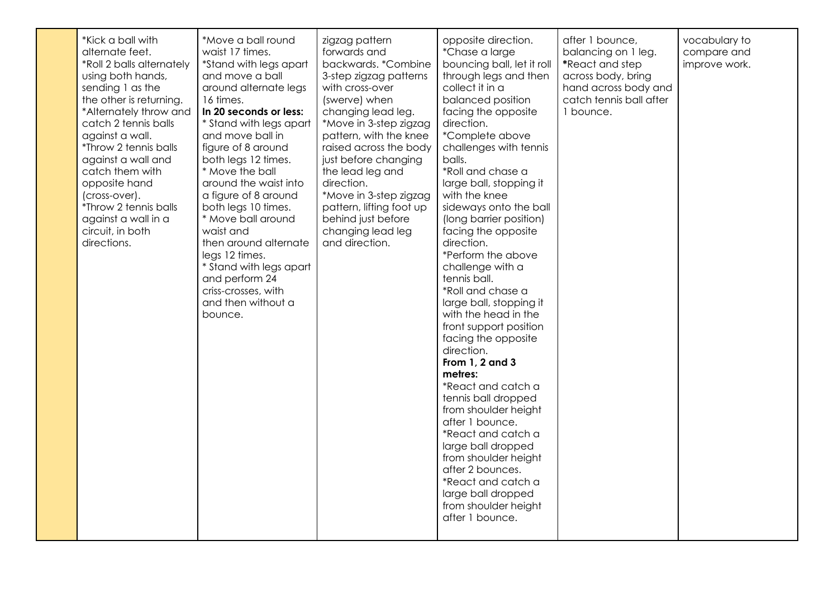| *Kick a ball with<br>alternate feet.<br>*Roll 2 balls alternately<br>using both hands,<br>sending 1 as the<br>the other is returning.<br>*Alternately throw and<br>catch 2 tennis balls<br>against a wall.<br>*Throw 2 tennis balls<br>against a wall and<br>catch them with<br>opposite hand<br>(cross-over).<br>*Throw 2 tennis balls<br>against a wall in a<br>circuit, in both<br>directions. | *Move a ball round<br>waist 17 times.<br>*Stand with legs apart<br>and move a ball<br>around alternate legs<br>16 times.<br>In 20 seconds or less:<br>* Stand with legs apart<br>and move ball in<br>figure of 8 around<br>both legs 12 times.<br>* Move the ball<br>around the waist into<br>a figure of 8 around<br>both legs 10 times.<br>* Move ball around<br>waist and<br>then around alternate<br>legs 12 times.<br>* Stand with legs apart<br>and perform 24<br>criss-crosses, with<br>and then without a<br>bounce. | zigzag pattern<br>forwards and<br>backwards. *Combine<br>3-step zigzag patterns<br>with cross-over<br>(swerve) when<br>changing lead leg.<br>*Move in 3-step zigzag<br>pattern, with the knee<br>raised across the body<br>just before changing<br>the lead leg and<br>direction.<br>*Move in 3-step zigzag<br>pattern, lifting foot up<br>behind just before<br>changing lead leg<br>and direction. | opposite direction.<br>*Chase a large<br>bouncing ball, let it roll<br>through legs and then<br>collect it in a<br>balanced position<br>facing the opposite<br>direction.<br>*Complete above<br>challenges with tennis<br>balls.<br>*Roll and chase a<br>large ball, stopping it<br>with the knee<br>sideways onto the ball<br>(long barrier position)<br>facing the opposite<br>direction.<br>*Perform the above<br>challenge with a<br>tennis ball.<br>*Roll and chase a<br>large ball, stopping it<br>with the head in the<br>front support position<br>facing the opposite<br>direction.<br>From 1, 2 and 3<br>metres:<br>*React and catch a<br>tennis ball dropped<br>from shoulder height<br>after 1 bounce.<br>*React and catch a<br>large ball dropped | after 1 bounce,<br>balancing on 1 leg.<br>*React and step<br>across body, bring<br>hand across body and<br>catch tennis ball after<br>1 bounce. | vocabulary to<br>compare and<br>improve work. |
|---------------------------------------------------------------------------------------------------------------------------------------------------------------------------------------------------------------------------------------------------------------------------------------------------------------------------------------------------------------------------------------------------|------------------------------------------------------------------------------------------------------------------------------------------------------------------------------------------------------------------------------------------------------------------------------------------------------------------------------------------------------------------------------------------------------------------------------------------------------------------------------------------------------------------------------|------------------------------------------------------------------------------------------------------------------------------------------------------------------------------------------------------------------------------------------------------------------------------------------------------------------------------------------------------------------------------------------------------|----------------------------------------------------------------------------------------------------------------------------------------------------------------------------------------------------------------------------------------------------------------------------------------------------------------------------------------------------------------------------------------------------------------------------------------------------------------------------------------------------------------------------------------------------------------------------------------------------------------------------------------------------------------------------------------------------------------------------------------------------------------|-------------------------------------------------------------------------------------------------------------------------------------------------|-----------------------------------------------|
|                                                                                                                                                                                                                                                                                                                                                                                                   |                                                                                                                                                                                                                                                                                                                                                                                                                                                                                                                              |                                                                                                                                                                                                                                                                                                                                                                                                      | from shoulder height<br>after 2 bounces.<br>*React and catch a<br>large ball dropped<br>from shoulder height<br>after 1 bounce.                                                                                                                                                                                                                                                                                                                                                                                                                                                                                                                                                                                                                                |                                                                                                                                                 |                                               |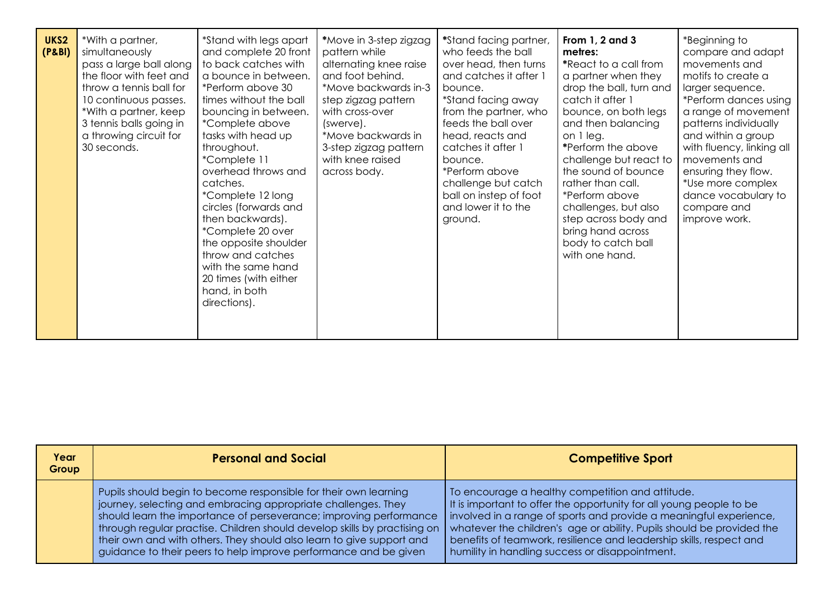| UKS2<br>(P&BI) | *With a partner,<br>simultaneously<br>pass a large ball along<br>the floor with feet and<br>throw a tennis ball for<br>10 continuous passes.<br>*With a partner, keep<br>3 tennis balls going in<br>a throwing circuit for<br>30 seconds. | *Stand with legs apart<br>and complete 20 front<br>to back catches with<br>a bounce in between.<br>*Perform above 30<br>times without the ball<br>bouncing in between.<br>*Complete above<br>tasks with head up<br>throughout.<br>*Complete 11<br>overhead throws and<br>catches.<br>*Complete 12 long<br>circles (forwards and<br>then backwards).<br>*Complete 20 over<br>the opposite shoulder<br>throw and catches<br>with the same hand<br>20 times (with either<br>hand, in both | *Move in 3-step zigzag<br>pattern while<br>alternating knee raise<br>and foot behind.<br>*Move backwards in-3<br>step zigzag pattern<br>with cross-over<br>(swerve).<br>*Move backwards in<br>3-step zigzag pattern<br>with knee raised<br>across body. | *Stand facing partner,<br>who feeds the ball<br>over head, then turns<br>and catches it after 1<br>bounce.<br>*Stand facing away<br>from the partner, who<br>feeds the ball over<br>head, reacts and<br>catches it after 1<br>bounce.<br>*Perform above<br>challenge but catch<br>ball on instep of foot<br>and lower it to the<br>ground. | From 1, 2 and 3<br>metres:<br>*React to a call from<br>a partner when they<br>drop the ball, turn and<br>catch it after 1<br>bounce, on both legs<br>and then balancing<br>on 1 leg.<br>*Perform the above<br>challenge but react to<br>the sound of bounce<br>rather than call.<br>*Perform above<br>challenges, but also<br>step across body and<br>bring hand across<br>body to catch ball<br>with one hand. | *Beginning to<br>compare and adapt<br>movements and<br>motifs to create a<br>larger sequence.<br>*Perform dances using<br>a range of movement<br>patterns individually<br>and within a group<br>with fluency, linking all<br>movements and<br>ensuring they flow.<br>*Use more complex<br>dance vocabulary to<br>compare and<br>improve work. |
|----------------|-------------------------------------------------------------------------------------------------------------------------------------------------------------------------------------------------------------------------------------------|----------------------------------------------------------------------------------------------------------------------------------------------------------------------------------------------------------------------------------------------------------------------------------------------------------------------------------------------------------------------------------------------------------------------------------------------------------------------------------------|---------------------------------------------------------------------------------------------------------------------------------------------------------------------------------------------------------------------------------------------------------|--------------------------------------------------------------------------------------------------------------------------------------------------------------------------------------------------------------------------------------------------------------------------------------------------------------------------------------------|-----------------------------------------------------------------------------------------------------------------------------------------------------------------------------------------------------------------------------------------------------------------------------------------------------------------------------------------------------------------------------------------------------------------|-----------------------------------------------------------------------------------------------------------------------------------------------------------------------------------------------------------------------------------------------------------------------------------------------------------------------------------------------|
|                |                                                                                                                                                                                                                                           | directions).                                                                                                                                                                                                                                                                                                                                                                                                                                                                           |                                                                                                                                                                                                                                                         |                                                                                                                                                                                                                                                                                                                                            |                                                                                                                                                                                                                                                                                                                                                                                                                 |                                                                                                                                                                                                                                                                                                                                               |

| Year<br>Group | <b>Personal and Social</b>                                                                                                                                                                                                                                                                                                                                                                                                        | <b>Competitive Sport</b>                                                                                                                                                                                                                                                                                                                                                                         |
|---------------|-----------------------------------------------------------------------------------------------------------------------------------------------------------------------------------------------------------------------------------------------------------------------------------------------------------------------------------------------------------------------------------------------------------------------------------|--------------------------------------------------------------------------------------------------------------------------------------------------------------------------------------------------------------------------------------------------------------------------------------------------------------------------------------------------------------------------------------------------|
|               | Pupils should begin to become responsible for their own learning<br>journey, selecting and embracing appropriate challenges. They<br>should learn the importance of perseverance; improving performance<br>through regular practise. Children should develop skills by practising on<br>their own and with others. They should also learn to give support and<br>guidance to their peers to help improve performance and be given | To encourage a healthy competition and attitude.<br>It is important to offer the opportunity for all young people to be<br>involved in a range of sports and provide a meaningful experience,<br>whatever the children's age or ability. Pupils should be provided the<br>benefits of teamwork, resilience and leadership skills, respect and<br>humility in handling success or disappointment. |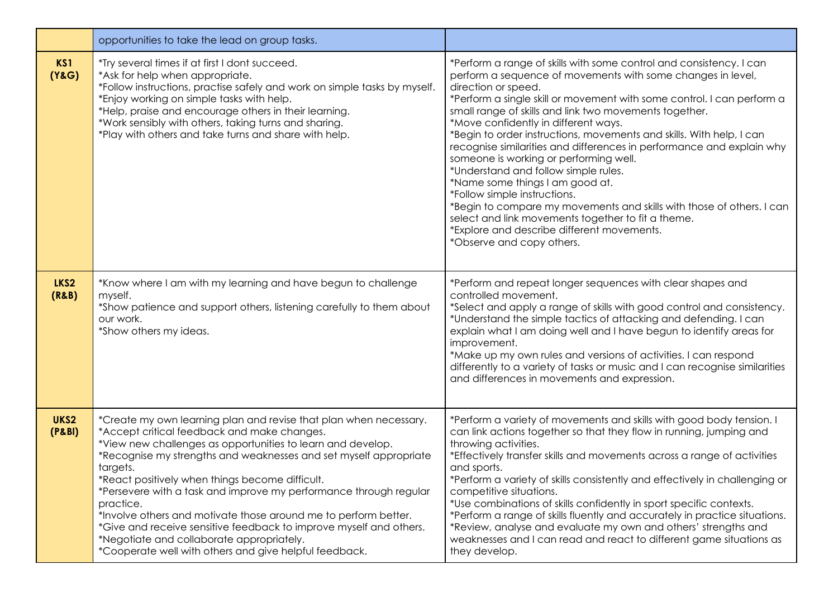|                | opportunities to take the lead on group tasks.                                                                                                                                                                                                                                                                                                                                                                                                                                                                                                                                                                                                        |                                                                                                                                                                                                                                                                                                                                                                                                                                                                                                                                                                                                                                                                                                                                                                                                                                                       |
|----------------|-------------------------------------------------------------------------------------------------------------------------------------------------------------------------------------------------------------------------------------------------------------------------------------------------------------------------------------------------------------------------------------------------------------------------------------------------------------------------------------------------------------------------------------------------------------------------------------------------------------------------------------------------------|-------------------------------------------------------------------------------------------------------------------------------------------------------------------------------------------------------------------------------------------------------------------------------------------------------------------------------------------------------------------------------------------------------------------------------------------------------------------------------------------------------------------------------------------------------------------------------------------------------------------------------------------------------------------------------------------------------------------------------------------------------------------------------------------------------------------------------------------------------|
| KS1<br>(Y & G) | *Try several times if at first I dont succeed.<br>*Ask for help when appropriate.<br>*Follow instructions, practise safely and work on simple tasks by myself.<br>*Enjoy working on simple tasks with help.<br>*Help, praise and encourage others in their learning.<br>*Work sensibly with others, taking turns and sharing.<br>*Play with others and take turns and share with help.                                                                                                                                                                                                                                                                | *Perform a range of skills with some control and consistency. I can<br>perform a sequence of movements with some changes in level,<br>direction or speed.<br>*Perform a single skill or movement with some control. I can perform a<br>small range of skills and link two movements together.<br>*Move confidently in different ways.<br>*Begin to order instructions, movements and skills. With help, I can<br>recognise similarities and differences in performance and explain why<br>someone is working or performing well.<br>*Understand and follow simple rules.<br>*Name some things I am good at.<br>*Follow simple instructions.<br>*Begin to compare my movements and skills with those of others. I can<br>select and link movements together to fit a theme.<br>*Explore and describe different movements.<br>*Observe and copy others. |
| LKS2<br>(R&B)  | *Know where I am with my learning and have begun to challenge<br>myself.<br>*Show patience and support others, listening carefully to them about<br>our work.<br>*Show others my ideas.                                                                                                                                                                                                                                                                                                                                                                                                                                                               | *Perform and repeat longer sequences with clear shapes and<br>controlled movement.<br>*Select and apply a range of skills with good control and consistency.<br>*Understand the simple tactics of attacking and defending. I can<br>explain what I am doing well and I have begun to identify areas for<br>improvement.<br>*Make up my own rules and versions of activities. I can respond<br>differently to a variety of tasks or music and I can recognise similarities<br>and differences in movements and expression.                                                                                                                                                                                                                                                                                                                             |
| UKS2<br>(P&BI) | *Create my own learning plan and revise that plan when necessary.<br>*Accept critical feedback and make changes.<br>*View new challenges as opportunities to learn and develop.<br>*Recognise my strengths and weaknesses and set myself appropriate<br>targets.<br>*React positively when things become difficult.<br>*Persevere with a task and improve my performance through regular<br>practice.<br>*Involve others and motivate those around me to perform better.<br>*Give and receive sensitive feedback to improve myself and others.<br>*Negotiate and collaborate appropriately.<br>*Cooperate well with others and give helpful feedback. | *Perform a variety of movements and skills with good body tension. I<br>can link actions together so that they flow in running, jumping and<br>throwing activities.<br>*Effectively transfer skills and movements across a range of activities<br>and sports.<br>*Perform a variety of skills consistently and effectively in challenging or<br>competitive situations.<br>*Use combinations of skills confidently in sport specific contexts.<br>*Perform a range of skills fluently and accurately in practice situations.<br>*Review, analyse and evaluate my own and others' strengths and<br>weaknesses and I can read and react to different game situations as<br>they develop.                                                                                                                                                                |